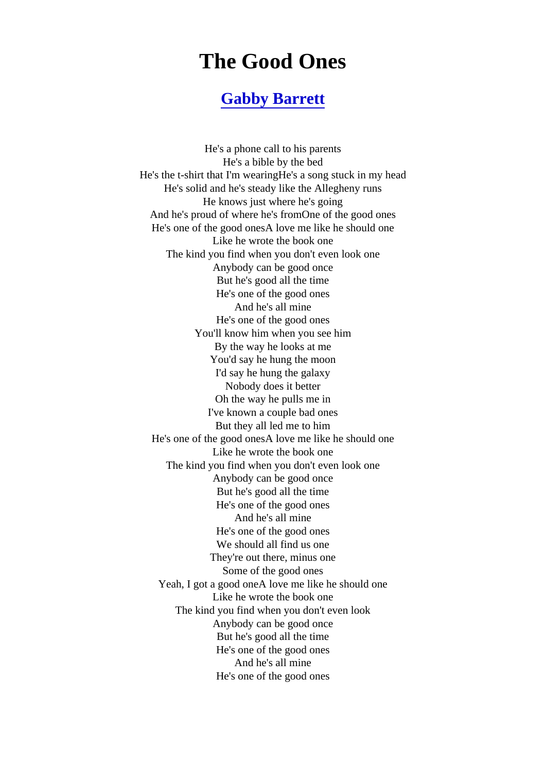## The Good Ones

## [Gabby Barrett](https://www.geniuslyrics.cc/search.html?q=Gabby+Barrett)

He's a phone call to his parents He's a bible by the bed He's the t-shirt that I'm wearingHe's a song stuck in my head He's solid and he's steady like the Allegheny runs He knows just where he's going And he's proud of where he's fromOne of the good ones He's one of the good onesA love me like he should one Like he wrote the book one The kind you find when you don't even look one Anybody can be good once But he's good all the time He's one of the good ones And he's all mine He's one of the good ones You'll know him when you see him By the way he looks at me You'd say he hung the moon I'd say he hung the galaxy Nobody does it better Oh the way he pulls me in I've known a couple bad ones But they all led me to him He's one of the good onesA love me like he should one Like he wrote the book one The kind you find when you don't even look one Anybody can be good once But he's good all the time He's one of the good ones And he's all mine He's one of the good ones We should all find us one They're out there, minus one Some of the good ones Yeah, I got a good oneA love me like he should one Like he wrote the book one The kind you find when you don't even look Anybody can be good once But he's good all the time He's one of the good ones And he's all mine He's one of the good ones